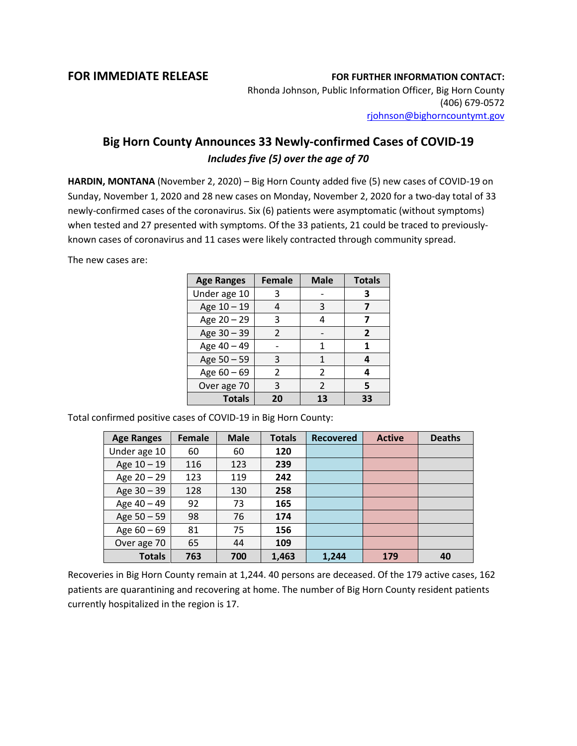## **FOR IMMEDIATE RELEASE FOR FURTHER INFORMATION CONTACT:**

Rhonda Johnson, Public Information Officer, Big Horn County (406) 679-0572 [rjohnson@bighorncountymt.gov](mailto:rjohnson@bighorncountymt.gov)

## **Big Horn County Announces 33 Newly-confirmed Cases of COVID-19** *Includes five (5) over the age of 70*

**HARDIN, MONTANA** (November 2, 2020) – Big Horn County added five (5) new cases of COVID-19 on Sunday, November 1, 2020 and 28 new cases on Monday, November 2, 2020 for a two-day total of 33 newly-confirmed cases of the coronavirus. Six (6) patients were asymptomatic (without symptoms) when tested and 27 presented with symptoms. Of the 33 patients, 21 could be traced to previouslyknown cases of coronavirus and 11 cases were likely contracted through community spread.

The new cases are:

| <b>Age Ranges</b> | <b>Female</b> | <b>Male</b>   | <b>Totals</b> |
|-------------------|---------------|---------------|---------------|
| Under age 10      | 3             |               | 3             |
| Age 10 - 19       | 4             | 3             | 7             |
| Age 20 - 29       | 3             | 4             |               |
| Age 30 - 39       | $\mathcal{P}$ |               | 2             |
| Age 40 - 49       |               | 1             | 1             |
| Age 50 - 59       | 3             | 1             | 4             |
| Age $60 - 69$     | $\mathcal{P}$ | 2             | 4             |
| Over age 70       | 3             | $\mathfrak z$ | 5             |
| <b>Totals</b>     | 20            | 13            | 33            |

Total confirmed positive cases of COVID-19 in Big Horn County:

| <b>Age Ranges</b> | Female | <b>Male</b> | <b>Totals</b> | <b>Recovered</b> | <b>Active</b> | <b>Deaths</b> |
|-------------------|--------|-------------|---------------|------------------|---------------|---------------|
| Under age 10      | 60     | 60          | 120           |                  |               |               |
| Age 10 - 19       | 116    | 123         | 239           |                  |               |               |
| Age $20 - 29$     | 123    | 119         | 242           |                  |               |               |
| Age $30 - 39$     | 128    | 130         | 258           |                  |               |               |
| Age 40 - 49       | 92     | 73          | 165           |                  |               |               |
| Age 50 - 59       | 98     | 76          | 174           |                  |               |               |
| Age $60 - 69$     | 81     | 75          | 156           |                  |               |               |
| Over age 70       | 65     | 44          | 109           |                  |               |               |
| <b>Totals</b>     | 763    | 700         | 1,463         | 1,244            | 179           | 40            |

Recoveries in Big Horn County remain at 1,244. 40 persons are deceased. Of the 179 active cases, 162 patients are quarantining and recovering at home. The number of Big Horn County resident patients currently hospitalized in the region is 17.